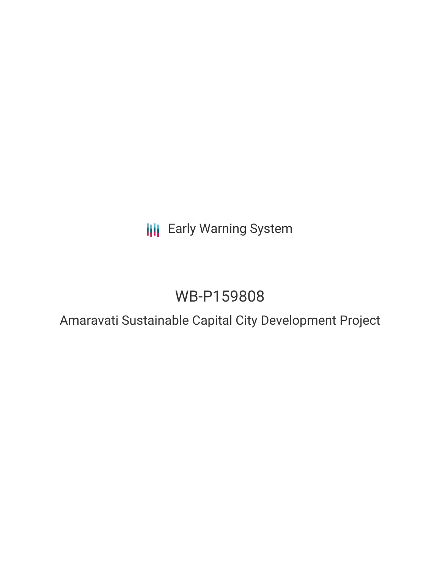# **III** Early Warning System

# WB-P159808

### Amaravati Sustainable Capital City Development Project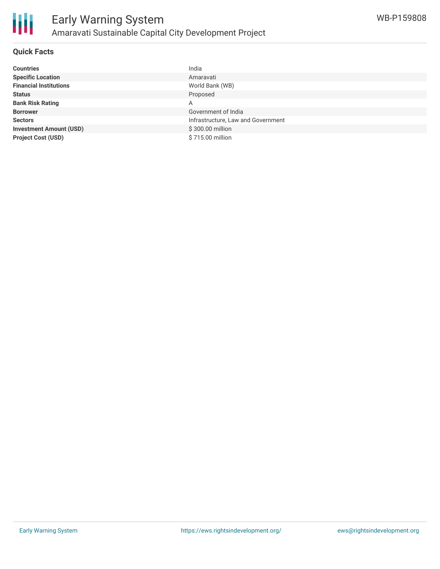

#### **Quick Facts**

| <b>Countries</b>               | India                              |
|--------------------------------|------------------------------------|
| <b>Specific Location</b>       | Amaravati                          |
| <b>Financial Institutions</b>  | World Bank (WB)                    |
| <b>Status</b>                  | Proposed                           |
| <b>Bank Risk Rating</b>        | A                                  |
| <b>Borrower</b>                | Government of India                |
| <b>Sectors</b>                 | Infrastructure, Law and Government |
| <b>Investment Amount (USD)</b> | \$300.00 million                   |
| <b>Project Cost (USD)</b>      | \$715.00 million                   |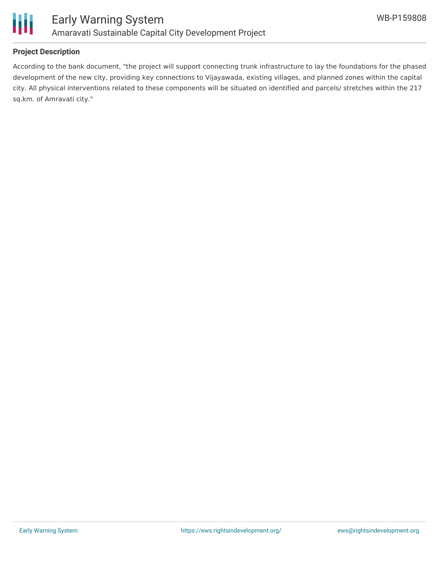

### **Project Description**

According to the bank document, "the project will support connecting trunk infrastructure to lay the foundations for the phased development of the new city, providing key connections to Vijayawada, existing villages, and planned zones within the capital city. All physical interventions related to these components will be situated on identified and parcels/ stretches within the 217 sq.km. of Amravati city."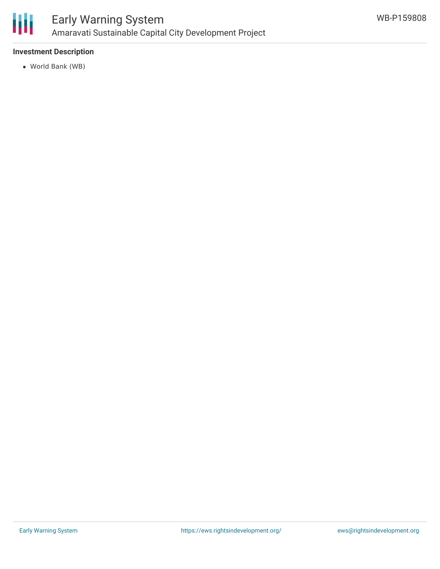

### Early Warning System Amaravati Sustainable Capital City Development Project

### **Investment Description**

World Bank (WB)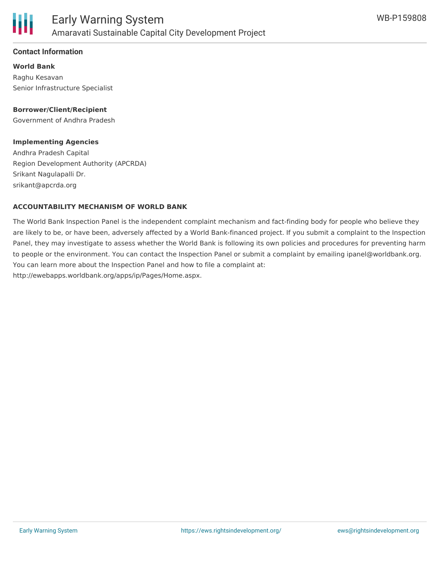

#### **Contact Information**

**World Bank** Raghu Kesavan Senior Infrastructure Specialist

**Borrower/Client/Recipient** Government of Andhra Pradesh

### **Implementing Agencies**

Andhra Pradesh Capital Region Development Authority (APCRDA) Srikant Nagulapalli Dr. srikant@apcrda.org

#### **ACCOUNTABILITY MECHANISM OF WORLD BANK**

The World Bank Inspection Panel is the independent complaint mechanism and fact-finding body for people who believe they are likely to be, or have been, adversely affected by a World Bank-financed project. If you submit a complaint to the Inspection Panel, they may investigate to assess whether the World Bank is following its own policies and procedures for preventing harm to people or the environment. You can contact the Inspection Panel or submit a complaint by emailing ipanel@worldbank.org. You can learn more about the Inspection Panel and how to file a complaint at: http://ewebapps.worldbank.org/apps/ip/Pages/Home.aspx.